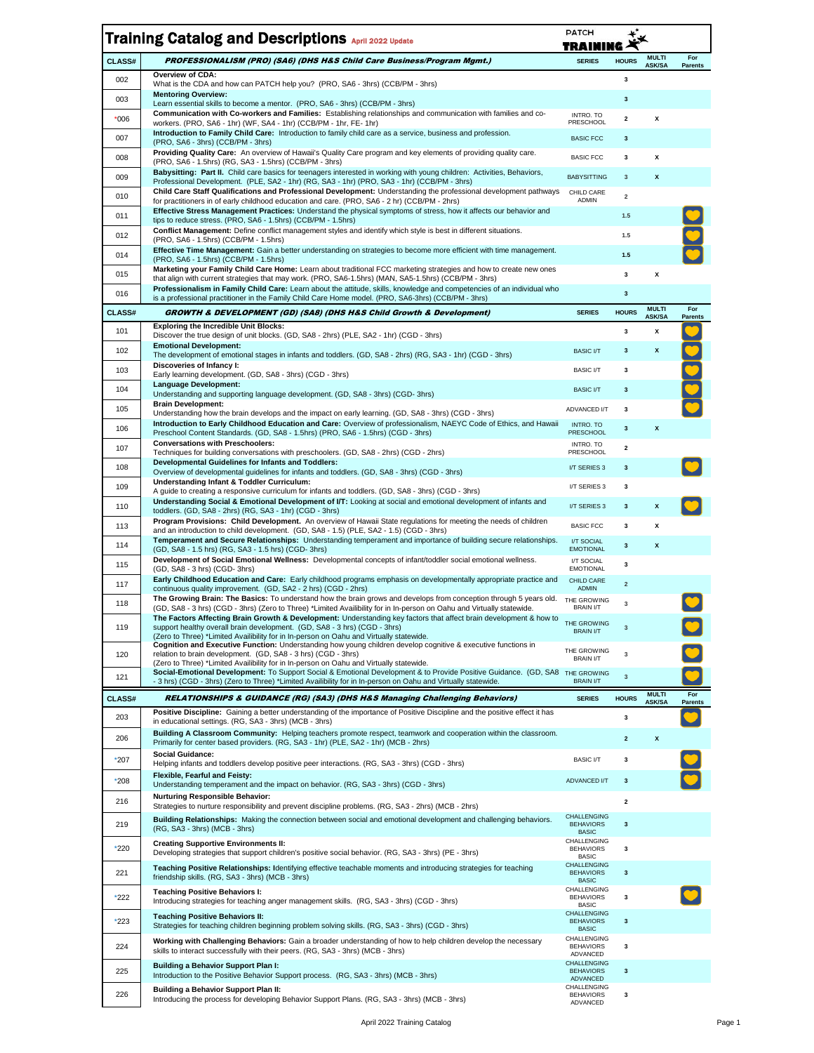|               | <b>Training Catalog and Descriptions April 2022 Update</b>                                                                                                                                                                                               | <b>PATCH</b><br>TRAII                                  |              |                               |                       |
|---------------|----------------------------------------------------------------------------------------------------------------------------------------------------------------------------------------------------------------------------------------------------------|--------------------------------------------------------|--------------|-------------------------------|-----------------------|
| CLASS#        | PROFESSIONALISM (PRO) (SA6) (DHS H&S Child Care Business/Program Mgmt.)                                                                                                                                                                                  | <b>SERIES</b>                                          | <b>HOURS</b> | <b>MULTI</b><br><b>ASK/SA</b> | For<br><b>Parents</b> |
| 002           | Overview of CDA:<br>What is the CDA and how can PATCH help you? (PRO, SA6 - 3hrs) (CCB/PM - 3hrs)                                                                                                                                                        |                                                        | 3            |                               |                       |
| 003           | <b>Mentoring Overview:</b><br>Learn essential skills to become a mentor. (PRO, SA6 - 3hrs) (CCB/PM - 3hrs)                                                                                                                                               |                                                        | 3            |                               |                       |
| $^*006$       | Communication with Co-workers and Families: Establishing relationships and communication with families and co-<br>workers. (PRO, SA6 - 1hr) (WF, SA4 - 1hr) (CCB/PM - 1hr, FE- 1hr)                                                                      | INTRO. TO<br>PRESCHOOL                                 | 2            | χ                             |                       |
| 007           | Introduction to Family Child Care: Introduction to family child care as a service, business and profession.<br>(PRO, SA6 - 3hrs) (CCB/PM - 3hrs)                                                                                                         | <b>BASIC FCC</b>                                       | 3            |                               |                       |
| 008           | Providing Quality Care: An overview of Hawaii's Quality Care program and key elements of providing quality care.<br>(PRO, SA6 - 1.5hrs) (RG, SA3 - 1.5hrs) (CCB/PM - 3hrs)                                                                               | <b>BASIC FCC</b>                                       | 3            | x                             |                       |
| 009           | Babysitting: Part II. Child care basics for teenagers interested in working with young children: Activities, Behaviors,<br>Professional Development. (PLE, SA2 - 1hr) (RG, SA3 - 1hr) (PRO, SA3 - 1hr) (CCB/PM - 3hrs)                                   | <b>BABYSITTING</b>                                     | $\mathsf 3$  | x                             |                       |
| 010           | Child Care Staff Qualifications and Professional Development: Understanding the professional development pathways<br>for practitioners in of early childhood education and care. (PRO, SA6 - 2 hr) (CCB/PM - 2hrs)                                       | CHILD CARE<br>ADMIN                                    | $\mathbf 2$  |                               |                       |
| 011           | Effective Stress Management Practices: Understand the physical symptoms of stress, how it affects our behavior and<br>tips to reduce stress. (PRO, SA6 - 1.5hrs) (CCB/PM - 1.5hrs)                                                                       |                                                        | 1.5          |                               |                       |
| 012           | Conflict Management: Define conflict management styles and identify which style is best in different situations.<br>(PRO, SA6 - 1.5hrs) (CCB/PM - 1.5hrs)                                                                                                |                                                        | 1.5          |                               |                       |
| 014           | Effective Time Management: Gain a better understanding on strategies to become more efficient with time management.<br>(PRO, SA6 - 1.5hrs) (CCB/PM - 1.5hrs)                                                                                             |                                                        | 1.5          |                               |                       |
| 015           | Marketing your Family Child Care Home: Learn about traditional FCC marketing strategies and how to create new ones<br>that align with current strategies that may work. (PRO, SA6-1.5hrs) (MAN, SA5-1.5hrs) (CCB/PM - 3hrs)                              |                                                        | 3            | X                             |                       |
| 016           | Professionalism in Family Child Care: Learn about the attitude, skills, knowledge and competencies of an individual who<br>is a professional practitioner in the Family Child Care Home model. (PRO, SA6-3hrs) (CCB/PM - 3hrs)                           |                                                        | $\mathbf 3$  |                               |                       |
| <b>CLASS#</b> | GROWTH & DEVELOPMENT (GD) (SA8) (DHS H&S Child Growth & Development)                                                                                                                                                                                     | <b>SERIES</b>                                          | <b>HOURS</b> | <b>MULTI</b><br><b>ASK/SA</b> | For<br><b>Parents</b> |
| 101           | <b>Exploring the Incredible Unit Blocks:</b><br>Discover the true design of unit blocks. (GD, SA8 - 2hrs) (PLE, SA2 - 1hr) (CGD - 3hrs)                                                                                                                  |                                                        | 3            | Χ                             |                       |
| 102           | <b>Emotional Development:</b><br>The development of emotional stages in infants and toddlers. (GD, SA8 - 2hrs) (RG, SA3 - 1hr) (CGD - 3hrs)                                                                                                              | <b>BASIC I/T</b>                                       | $\mathbf{3}$ | x                             |                       |
| 103           | Discoveries of Infancy I:<br>Early learning development. (GD, SA8 - 3hrs) (CGD - 3hrs)                                                                                                                                                                   | <b>BASIC I/T</b>                                       | 3            |                               |                       |
| 104           | <b>Language Development:</b><br>Understanding and supporting language development. (GD, SA8 - 3hrs) (CGD-3hrs)                                                                                                                                           | <b>BASIC I/T</b>                                       | $\mathbf 3$  |                               |                       |
| 105           | <b>Brain Development:</b><br>Understanding how the brain develops and the impact on early learning. (GD, SA8 - 3hrs) (CGD - 3hrs)                                                                                                                        | ADVANCED I/T                                           | 3            |                               |                       |
| 106           | Introduction to Early Childhood Education and Care: Overview of professionalism, NAEYC Code of Ethics, and Hawaii<br>Preschool Content Standards. (GD, SA8 - 1.5hrs) (PRO, SA6 - 1.5hrs) (CGD - 3hrs)                                                    | INTRO. TO<br><b>PRESCHOOL</b>                          | 3            | x                             |                       |
| 107           | <b>Conversations with Preschoolers:</b><br>Techniques for building conversations with preschoolers. (GD, SA8 - 2hrs) (CGD - 2hrs)                                                                                                                        | INTRO. TO<br>PRESCHOOL                                 | 2            |                               |                       |
| 108           | <b>Developmental Guidelines for Infants and Toddlers:</b><br>Overview of developmental guidelines for infants and toddlers. (GD, SA8 - 3hrs) (CGD - 3hrs)                                                                                                | I/T SERIES 3                                           | 3            |                               |                       |
| 109           | Understanding Infant & Toddler Curriculum:<br>A guide to creating a responsive curriculum for infants and toddlers. (GD, SA8 - 3hrs) (CGD - 3hrs)                                                                                                        | I/T SERIES 3                                           | 3            |                               |                       |
| 110           | Understanding Social & Emotional Development of I/T: Looking at social and emotional development of infants and<br>toddlers. (GD, SA8 - 2hrs) (RG, SA3 - 1hr) (CGD - 3hrs)                                                                               | I/T SERIES 3                                           | 3            | X                             |                       |
| 113           | Program Provisions: Child Development. An overview of Hawaii State regulations for meeting the needs of children<br>and an introduction to child development. (GD, SA8 - 1.5) (PLE, SA2 - 1.5) (CGD - 3hrs)                                              | <b>BASIC FCC</b>                                       | 3            | χ                             |                       |
| 114           | Temperament and Secure Relationships: Understanding temperament and importance of building secure relationships.<br>(GD, SA8 - 1.5 hrs) (RG, SA3 - 1.5 hrs) (CGD- 3hrs)                                                                                  | I/T SOCIAL<br><b>EMOTIONAL</b>                         | $\mathbf 3$  | X                             |                       |
| 115           | Development of Social Emotional Wellness: Developmental concepts of infant/toddler social emotional wellness.<br>(GD, SA8 - 3 hrs) (CGD- 3hrs)                                                                                                           | I/T SOCIAL<br><b>EMOTIONAL</b>                         | 3            |                               |                       |
| 117           | Early Childhood Education and Care: Early childhood programs emphasis on developmentally appropriate practice and<br>continuous quality improvement. (GD, SA2 - 2 hrs) (CGD - 2hrs)                                                                      | CHILD CARE<br><b>ADMIN</b>                             | $\mathbf 2$  |                               |                       |
| 118           | The Growing Brain: The Basics: To understand how the brain grows and develops from conception through 5 years old. THE GROWING<br>(GD, SA8 - 3 hrs) (CGD - 3hrs) (Zero to Three) *Limited Availibility for in In-person on Oahu and Virtually statewide. | <b>BRAIN I/T</b>                                       | 3            |                               |                       |
| 119           | The Factors Affecting Brain Growth & Development: Understanding key factors that affect brain development & how to<br>support healthy overall brain development. (GD, SA8 - 3 hrs) (CGD - 3hrs)                                                          | THE GROWING<br><b>BRAIN I/T</b>                        | 3            |                               |                       |
|               | (Zero to Three) *Limited Availibility for in In-person on Oahu and Virtually statewide.<br>Cognition and Executive Function: Understanding how young children develop cognitive & executive functions in                                                 | THE GROWING                                            |              |                               |                       |
| 120           | relation to brain development. (GD, SA8 - 3 hrs) (CGD - 3hrs)<br>(Zero to Three) *Limited Availibility for in In-person on Oahu and Virtually statewide.                                                                                                 | <b>BRAIN I/T</b>                                       | 3            |                               |                       |
| 121           | Social-Emotional Development: To Support Social & Emotional Development & to Provide Positive Guidance. (GD, SA8 THE GROWING<br>- 3 hrs) (CGD - 3hrs) (Zero to Three) *Limited Availibility for in In-person on Oahu and Virtually statewide.            | <b>BRAIN I/T</b>                                       | $\mathsf 3$  |                               |                       |
| <b>CLASS#</b> | RELATIONSHIPS & GUIDANCE (RG) (SA3) (DHS H&S Managing Challenging Behaviors)                                                                                                                                                                             | <b>SERIES</b>                                          | <b>HOURS</b> | <b>MULTI</b><br><b>ASK/SA</b> | For<br><b>Parents</b> |
| 203           | Positive Discipline: Gaining a better understanding of the importance of Positive Discipline and the positive effect it has<br>in educational settings. (RG, SA3 - 3hrs) (MCB - 3hrs)                                                                    |                                                        | 3            |                               |                       |
| 206           | Building A Classroom Community: Helping teachers promote respect, teamwork and cooperation within the classroom.<br>Primarily for center based providers. (RG, SA3 - 1hr) (PLE, SA2 - 1hr) (MCB - 2hrs)                                                  |                                                        | $\mathbf 2$  | x                             |                       |
| *207          | <b>Social Guidance:</b><br>Helping infants and toddlers develop positive peer interactions. (RG, SA3 - 3hrs) (CGD - 3hrs)                                                                                                                                | <b>BASIC I/T</b>                                       | 3            |                               |                       |
| $*208$        | Flexible, Fearful and Feisty:<br>Understanding temperament and the impact on behavior. (RG, SA3 - 3hrs) (CGD - 3hrs)                                                                                                                                     | ADVANCED I/T                                           | 3            |                               |                       |
| 216           | <b>Nurturing Responsible Behavior:</b><br>Strategies to nurture responsibility and prevent discipline problems. (RG, SA3 - 2hrs) (MCB - 2hrs)                                                                                                            |                                                        | $\mathbf 2$  |                               |                       |
| 219           | Building Relationships: Making the connection between social and emotional development and challenging behaviors.                                                                                                                                        | CHALLENGING<br><b>BEHAVIORS</b>                        | $\mathbf{3}$ |                               |                       |
|               | (RG, SA3 - 3hrs) (MCB - 3hrs)<br><b>Creating Supportive Environments II:</b>                                                                                                                                                                             | <b>BASIC</b><br>CHALLENGING                            |              |                               |                       |
| *220          | Developing strategies that support children's positive social behavior. (RG, SA3 - 3hrs) (PE - 3hrs)                                                                                                                                                     | <b>BEHAVIORS</b><br><b>BASIC</b><br><b>CHALLENGING</b> | 3            |                               |                       |
| 221           | Teaching Positive Relationships: Identifying effective teachable moments and introducing strategies for teaching<br>friendship skills. (RG, SA3 - 3hrs) (MCB - 3hrs)                                                                                     | <b>BEHAVIORS</b><br><b>BASIC</b>                       | 3            |                               |                       |
| *222          | <b>Teaching Positive Behaviors I:</b><br>Introducing strategies for teaching anger management skills. (RG, SA3 - 3hrs) (CGD - 3hrs)                                                                                                                      | CHALLENGING<br><b>BEHAVIORS</b>                        | 3            |                               |                       |
| *223          | <b>Teaching Positive Behaviors II:</b>                                                                                                                                                                                                                   | <b>BASIC</b><br><b>CHALLENGING</b><br><b>BEHAVIORS</b> | 3            |                               |                       |
|               | Strategies for teaching children beginning problem solving skills. (RG, SA3 - 3hrs) (CGD - 3hrs)<br>Working with Challenging Behaviors: Gain a broader understanding of how to help children develop the necessary                                       | <b>BASIC</b><br>CHALLENGING                            |              |                               |                       |
| 224           | skills to interact successfully with their peers. (RG, SA3 - 3hrs) (MCB - 3hrs)                                                                                                                                                                          | <b>BEHAVIORS</b><br>ADVANCED                           | 3            |                               |                       |
| 225           | <b>Building a Behavior Support Plan I:</b><br>Introduction to the Positive Behavior Support process. (RG, SA3 - 3hrs) (MCB - 3hrs)                                                                                                                       | <b>CHALLENGING</b><br><b>BEHAVIORS</b><br>ADVANCED     | 3            |                               |                       |
| 226           | <b>Building a Behavior Support Plan II:</b><br>Introducing the process for developing Behavior Support Plans. (RG, SA3 - 3hrs) (MCB - 3hrs)                                                                                                              | CHALLENGING<br><b>BEHAVIORS</b><br>ADVANCED            | 3            |                               |                       |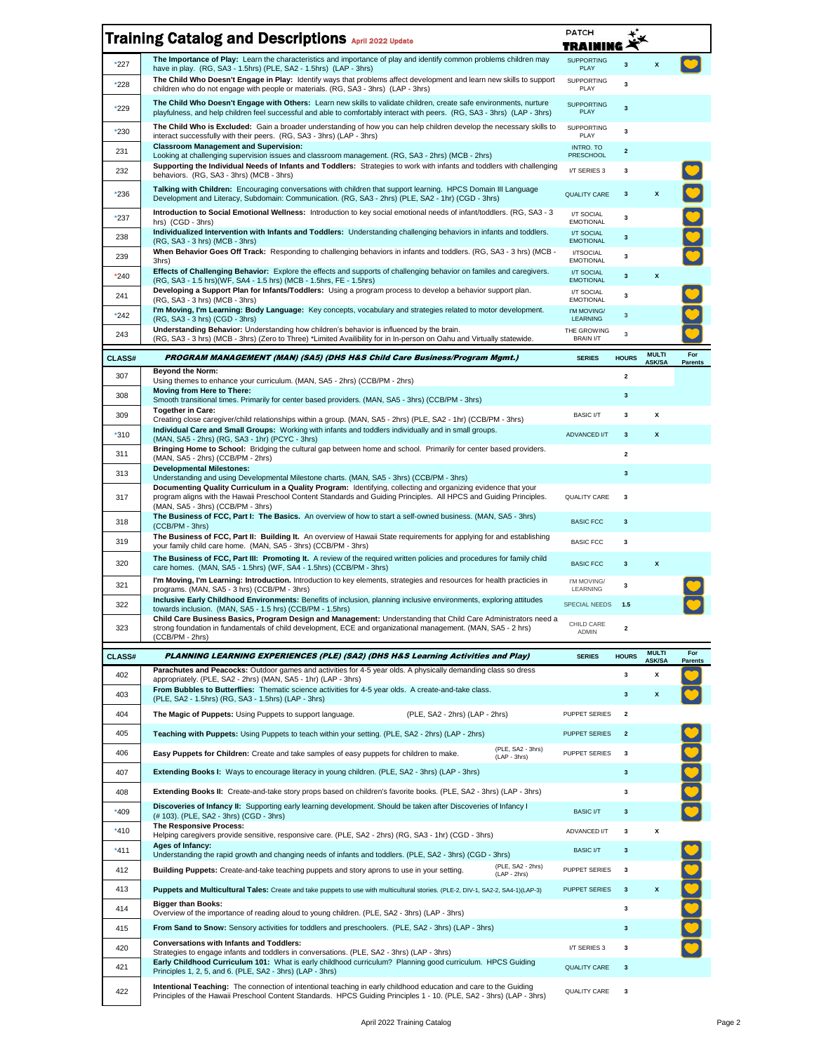|               | <b>Training Catalog and Descriptions April 2022 Update</b>                                                                                                                                                                                                                                                                         | <b>PATCH</b><br>TRAINING         |                         |                               |                       |
|---------------|------------------------------------------------------------------------------------------------------------------------------------------------------------------------------------------------------------------------------------------------------------------------------------------------------------------------------------|----------------------------------|-------------------------|-------------------------------|-----------------------|
| $*227$        | The Importance of Play: Learn the characteristics and importance of play and identify common problems children may<br>have in play. (RG, SA3 - 1.5hrs) (PLE, SA2 - 1.5hrs) (LAP - 3hrs)                                                                                                                                            | <b>SUPPORTING</b><br>PLAY        | $\mathbf{3}$            | $\boldsymbol{x}$              |                       |
| *228          | The Child Who Doesn't Engage in Play: Identify ways that problems affect development and learn new skills to support<br>children who do not engage with people or materials. (RG, SA3 - 3hrs) (LAP - 3hrs)                                                                                                                         | SUPPORTING<br>PLAY               | 3                       |                               |                       |
| *229          | The Child Who Doesn't Engage with Others: Learn new skills to validate children, create safe environments, nurture<br>playfulness, and help children feel successful and able to comfortably interact with peers. (RG, SA3 - 3hrs) (LAP - 3hrs)                                                                                    | <b>SUPPORTING</b><br><b>PLAY</b> | $\mathbf{3}$            |                               |                       |
| $*230$        | The Child Who is Excluded: Gain a broader understanding of how you can help children develop the necessary skills to<br>interact successfully with their peers. (RG, SA3 - 3hrs) (LAP - 3hrs)                                                                                                                                      | <b>SUPPORTING</b><br>PLAY        | 3                       |                               |                       |
| 231           | <b>Classroom Management and Supervision:</b><br>Looking at challenging supervision issues and classroom management. (RG, SA3 - 2hrs) (MCB - 2hrs)                                                                                                                                                                                  | INTRO. TO<br>PRESCHOOL           | $\mathbf{2}$            |                               |                       |
| 232           | Supporting the Individual Needs of Infants and Toddlers: Strategies to work with infants and toddlers with challenging<br>behaviors. (RG, SA3 - 3hrs) (MCB - 3hrs)                                                                                                                                                                 | I/T SERIES 3                     | 3                       |                               |                       |
| *236          | Talking with Children: Encouraging conversations with children that support learning. HPCS Domain III Language<br>Development and Literacy, Subdomain: Communication. (RG, SA3 - 2hrs) (PLE, SA2 - 1hr) (CGD - 3hrs)                                                                                                               | <b>QUALITY CARE</b>              | $\mathbf{3}$            | $\pmb{\mathsf{x}}$            |                       |
| $*237$        | <b>Introduction to Social Emotional Wellness:</b> Introduction to key social emotional needs of infant/toddlers. (RG, SA3 - 3<br>hrs) (CGD - 3hrs)                                                                                                                                                                                 | I/T SOCIAL<br><b>EMOTIONAL</b>   | 3                       |                               |                       |
| 238           | Individualized Intervention with Infants and Toddlers: Understanding challenging behaviors in infants and toddlers.<br>(RG, SA3 - 3 hrs) (MCB - 3hrs)                                                                                                                                                                              | I/T SOCIAL<br><b>EMOTIONAL</b>   | 3                       |                               |                       |
| 239           | When Behavior Goes Off Track: Responding to challenging behaviors in infants and toddlers. (RG, SA3 - 3 hrs) (MCB -<br>3hrs)                                                                                                                                                                                                       | I/TSOCIAL<br><b>EMOTIONAL</b>    | 3                       |                               |                       |
| $*240$        | <b>Effects of Challenging Behavior:</b> Explore the effects and supports of challenging behavior on familes and caregivers.<br>(RG, SA3 - 1.5 hrs)(WF, SA4 - 1.5 hrs) (MCB - 1.5hrs, FE - 1.5hrs)                                                                                                                                  | I/T SOCIAL<br><b>EMOTIONAL</b>   | 3                       | X                             |                       |
| 241           | Developing a Support Plan for Infants/Toddlers: Using a program process to develop a behavior support plan.<br>(RG, SA3 - 3 hrs) (MCB - 3hrs)                                                                                                                                                                                      | I/T SOCIAL<br><b>EMOTIONAL</b>   | 3                       |                               |                       |
| $*242$        | I'm Moving, I'm Learning: Body Language: Key concepts, vocabulary and strategies related to motor development.<br>(RG, SA3 - 3 hrs) (CGD - 3hrs)                                                                                                                                                                                   | I'M MOVING/<br><b>LEARNING</b>   | 3                       |                               |                       |
| 243           | Understanding Behavior: Understanding how children's behavior is influenced by the brain.<br>(RG, SA3 - 3 hrs) (MCB - 3hrs) (Zero to Three) *Limited Availibility for in In-person on Oahu and Virtually statewide.                                                                                                                | THE GROWING<br><b>BRAIN I/T</b>  | 3                       |                               |                       |
| <b>CLASS#</b> | PROGRAM MANAGEMENT (MAN) (SA5) (DHS H&S Child Care Business/Program Mgmt.)                                                                                                                                                                                                                                                         | <b>SERIES</b>                    | <b>HOURS</b>            | <b>MULTI</b><br><b>ASK/SA</b> | For<br><b>Parents</b> |
| 307           | <b>Beyond the Norm:</b><br>Using themes to enhance your curriculum. (MAN, SA5 - 2hrs) (CCB/PM - 2hrs)                                                                                                                                                                                                                              |                                  | $\mathbf{2}$            |                               |                       |
| 308           | Moving from Here to There:<br>Smooth transitional times. Primarily for center based providers. (MAN, SA5 - 3hrs) (CCB/PM - 3hrs)                                                                                                                                                                                                   |                                  | $\mathbf 3$             |                               |                       |
| 309           | <b>Together in Care:</b>                                                                                                                                                                                                                                                                                                           | <b>BASIC I/T</b>                 | 3                       | х                             |                       |
| $*310$        | Creating close caregiver/child relationships within a group. (MAN, SA5 - 2hrs) (PLE, SA2 - 1hr) (CCB/PM - 3hrs)<br>Individual Care and Small Groups: Working with infants and toddlers individually and in small groups.                                                                                                           | ADVANCED I/T                     | $\mathbf{3}$            | x                             |                       |
| 311           | (MAN, SA5 - 2hrs) (RG, SA3 - 1hr) (PCYC - 3hrs)<br>Bringing Home to School: Bridging the cultural gap between home and school. Primarily for center based providers.                                                                                                                                                               |                                  | 2                       |                               |                       |
| 313           | (MAN, SA5 - 2hrs) (CCB/PM - 2hrs)<br><b>Developmental Milestones:</b>                                                                                                                                                                                                                                                              |                                  | $\mathbf{3}$            |                               |                       |
| 317           | Understanding and using Developmental Milestone charts. (MAN, SA5 - 3hrs) (CCB/PM - 3hrs)<br>Documenting Quality Curriculum in a Quality Program: Identifying, collecting and organizing evidence that your<br>program aligns with the Hawaii Preschool Content Standards and Guiding Principles. All HPCS and Guiding Principles. | QUALITY CARE                     | 3                       |                               |                       |
| 318           | (MAN, SA5 - 3hrs) (CCB/PM - 3hrs)<br>The Business of FCC, Part I: The Basics. An overview of how to start a self-owned business. (MAN, SA5 - 3hrs)                                                                                                                                                                                 | <b>BASIC FCC</b>                 | $\mathbf 3$             |                               |                       |
| 319           | $(CCB/PM - 3hrs)$<br>The Business of FCC, Part II: Building It. An overview of Hawaii State requirements for applying for and establishing<br>your family child care home. (MAN, SA5 - 3hrs) (CCB/PM - 3hrs)                                                                                                                       | <b>BASIC FCC</b>                 | 3                       |                               |                       |
| 320           | The Business of FCC, Part III: Promoting It. A review of the required written policies and procedures for family child<br>care homes. (MAN, SA5 - 1.5hrs) (WF, SA4 - 1.5hrs) (CCB/PM - 3hrs)                                                                                                                                       | <b>BASIC FCC</b>                 | $\mathbf 3$             | x                             |                       |
| 321           | I'm Moving, I'm Learning: Introduction. Introduction to key elements, strategies and resources for health practicies in<br>programs. (MAN, SA5 - 3 hrs) (CCB/PM - 3hrs)                                                                                                                                                            | I'M MOVING/<br>LEARNING          | 3                       |                               |                       |
| 322           | Inclusive Early Childhood Environments: Benefits of inclusion, planning inclusive environments, exploring attitudes<br>towards inclusion. (MAN, SA5 - 1.5 hrs) (CCB/PM - 1.5hrs)                                                                                                                                                   | <b>SPECIAL NEEDS</b>             | 1.5                     |                               |                       |
| 323           | Child Care Business Basics, Program Design and Management: Understanding that Child Care Administrators need a<br>strong foundation in fundamentals of child development, ECE and organizational management. (MAN, SA5 - 2 hrs)<br>(CCB/PM - 2hrs)                                                                                 | CHILD CARE<br>ADMIN              | $\mathbf{2}$            |                               |                       |
| CLASS#        | PLANNING LEARNING EXPERIENCES (PLE) (SA2) (DHS H&S Learning Activities and Play)                                                                                                                                                                                                                                                   | <b>SERIES</b>                    | <b>HOURS</b>            | <b>MULTI</b><br><b>ASK/SA</b> | For                   |
| 402           | Parachutes and Peacocks: Outdoor games and activities for 4-5 year olds. A physically demanding class so dress<br>appropriately. (PLE, SA2 - 2hrs) (MAN, SA5 - 1hr) (LAP - 3hrs)                                                                                                                                                   |                                  | 3                       | x                             | <b>Parents</b>        |
| 403           | From Bubbles to Butterflies: Thematic science activities for 4-5 year olds. A create-and-take class.<br>(PLE, SA2 - 1.5hrs) (RG, SA3 - 1.5hrs) (LAP - 3hrs)                                                                                                                                                                        |                                  | $\mathbf{3}$            | X                             |                       |
| 404           | (PLE, SA2 - 2hrs) (LAP - 2hrs)<br>The Magic of Puppets: Using Puppets to support language.                                                                                                                                                                                                                                         | <b>PUPPET SERIES</b>             | $\overline{\mathbf{2}}$ |                               |                       |
| 405           | Teaching with Puppets: Using Puppets to teach within your setting. (PLE, SA2 - 2hrs) (LAP - 2hrs)                                                                                                                                                                                                                                  | <b>PUPPET SERIES</b>             | $\overline{2}$          |                               |                       |
| 406           | (PLE, SA2 - 3hrs)<br>Easy Puppets for Children: Create and take samples of easy puppets for children to make.<br>$(LAP - 3hrs)$                                                                                                                                                                                                    | PUPPET SERIES                    | 3                       |                               |                       |
| 407           | Extending Books I: Ways to encourage literacy in young children. (PLE, SA2 - 3hrs) (LAP - 3hrs)                                                                                                                                                                                                                                    |                                  | $\mathbf{3}$            |                               |                       |
| 408           | <b>Extending Books II:</b> Create-and-take story props based on children's favorite books. (PLE, SA2 - 3hrs) (LAP - 3hrs)                                                                                                                                                                                                          |                                  | 3                       |                               |                       |
| $*409$        | Discoveries of Infancy II: Supporting early learning development. Should be taken after Discoveries of Infancy I                                                                                                                                                                                                                   | <b>BASIC I/T</b>                 | $\mathbf{3}$            |                               |                       |
| $*410$        | (#103). (PLE, SA2 - 3hrs) (CGD - 3hrs)<br>The Responsive Process:<br>Helping caregivers provide sensitive, responsive care. (PLE, SA2 - 2hrs) (RG, SA3 - 1hr) (CGD - 3hrs)                                                                                                                                                         | ADVANCED I/T                     | 3                       | x                             |                       |
| $*411$        | Ages of Infancy:                                                                                                                                                                                                                                                                                                                   | <b>BASIC I/T</b>                 | $\mathbf{3}$            |                               |                       |
| 412           | Understanding the rapid growth and changing needs of infants and toddlers. (PLE, SA2 - 3hrs) (CGD - 3hrs)<br>(PLE, SA2 - 2hrs)<br>Building Puppets: Create-and-take teaching puppets and story aprons to use in your setting.<br>$(LAP - 2hrs)$                                                                                    | <b>PUPPET SERIES</b>             | 3                       |                               |                       |
| 413           | Puppets and Multicultural Tales: Create and take puppets to use with multicultural stories. (PLE-2, DIV-1, SA2-2, SA4-1)(LAP-3)                                                                                                                                                                                                    | <b>PUPPET SERIES</b>             | $\mathbf{3}$            | $\pmb{\mathsf{x}}$            |                       |
| 414           | <b>Bigger than Books:</b><br>Overview of the importance of reading aloud to young children. (PLE, SA2 - 3hrs) (LAP - 3hrs)                                                                                                                                                                                                         |                                  | 3                       |                               |                       |
| 415           | From Sand to Snow: Sensory activities for toddlers and preschoolers. (PLE, SA2 - 3hrs) (LAP - 3hrs)                                                                                                                                                                                                                                |                                  | $\mathbf{3}$            |                               |                       |
| 420           | <b>Conversations with Infants and Toddlers:</b><br>Strategies to engage infants and toddlers in conversations. (PLE, SA2 - 3hrs) (LAP - 3hrs)                                                                                                                                                                                      | I/T SERIES 3                     | 3                       |                               |                       |
| 421           | Early Childhood Curriculum 101: What is early childhood curriculum? Planning good curriculum. HPCS Guiding<br>Principles 1, 2, 5, and 6. (PLE, SA2 - 3hrs) (LAP - 3hrs)                                                                                                                                                            | <b>QUALITY CARE</b>              | $\mathbf{3}$            |                               |                       |
| 422           | Intentional Teaching: The connection of intentional teaching in early childhood education and care to the Guiding<br>Principles of the Hawaii Preschool Content Standards. HPCS Guiding Principles 1 - 10. (PLE, SA2 - 3hrs) (LAP - 3hrs)                                                                                          | QUALITY CARE                     | 3                       |                               |                       |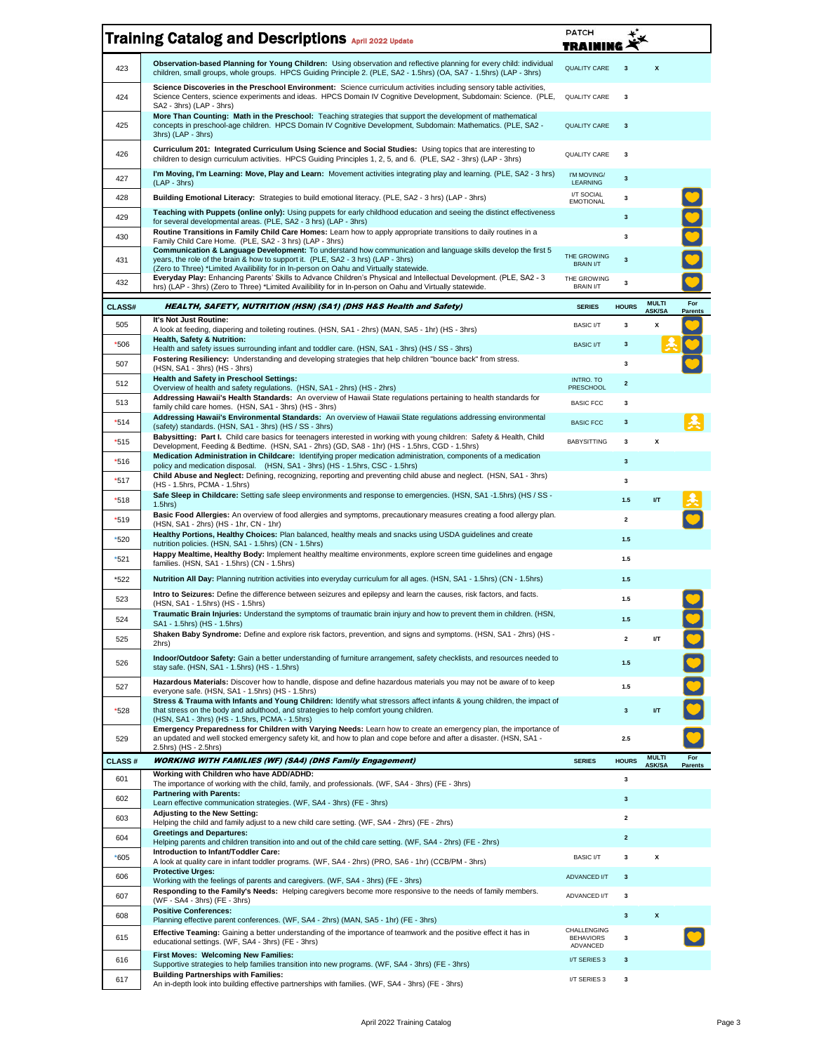|               | <b>Training Catalog and Descriptions April 2022 Update</b>                                                                                                                                                                                                                                     | PATCH<br>TRAII                  |                         |                               |                       |
|---------------|------------------------------------------------------------------------------------------------------------------------------------------------------------------------------------------------------------------------------------------------------------------------------------------------|---------------------------------|-------------------------|-------------------------------|-----------------------|
| 423           | Observation-based Planning for Young Children: Using observation and reflective planning for every child: individual<br>children, small groups, whole groups. HPCS Guiding Principle 2. (PLE, SA2 - 1.5hrs) (OA, SA7 - 1.5hrs) (LAP - 3hrs)                                                    | <b>QUALITY CARE</b>             | 3                       | X                             |                       |
| 424           | Science Discoveries in the Preschool Environment: Science curriculum activities including sensory table activities,<br>Science Centers, science experiments and ideas. HPCS Domain IV Cognitive Development, Subdomain: Science. (PLE,<br>SA2 - 3hrs) (LAP - 3hrs)                             | <b>QUALITY CARE</b>             | $\overline{\mathbf{3}}$ |                               |                       |
| 425           | More Than Counting: Math in the Preschool: Teaching strategies that support the development of mathematical<br>concepts in preschool-age children. HPCS Domain IV Cognitive Development, Subdomain: Mathematics. (PLE, SA2 -<br>3hrs) (LAP - 3hrs)                                             | <b>QUALITY CARE</b>             | $\mathbf{3}$            |                               |                       |
| 426           | Curriculum 201: Integrated Curriculum Using Science and Social Studies: Using topics that are interesting to<br>children to design curriculum activities. HPCS Guiding Principles 1, 2, 5, and 6. (PLE, SA2 - 3hrs) (LAP - 3hrs)                                                               | QUALITY CARE                    | 3                       |                               |                       |
| 427           | I'm Moving, I'm Learning: Move, Play and Learn: Movement activities integrating play and learning. (PLE, SA2 - 3 hrs)<br>$(LAP - 3hrs)$                                                                                                                                                        | I'M MOVING/<br><b>LEARNING</b>  | $\mathbf 3$             |                               |                       |
| 428           | Building Emotional Literacy: Strategies to build emotional literacy. (PLE, SA2 - 3 hrs) (LAP - 3hrs)                                                                                                                                                                                           | I/T SOCIAL<br><b>EMOTIONAL</b>  | 3                       |                               |                       |
| 429           | Teaching with Puppets (online only): Using puppets for early childhood education and seeing the distinct effectiveness<br>for several developmental areas. (PLE, SA2 - 3 hrs) (LAP - 3hrs)                                                                                                     |                                 | $\mathbf 3$             |                               |                       |
| 430           | Routine Transitions in Family Child Care Homes: Learn how to apply appropriate transitions to daily routines in a<br>Family Child Care Home. (PLE, SA2 - 3 hrs) (LAP - 3hrs)                                                                                                                   |                                 | 3                       |                               |                       |
| 431           | Communication & Language Development: To understand how communication and language skills develop the first 5<br>years, the role of the brain & how to support it. (PLE, SA2 - 3 hrs) (LAP - 3hrs)<br>(Zero to Three) *Limited Availibility for in In-person on Oahu and Virtually statewide.  | THE GROWING<br><b>BRAIN I/T</b> | $\mathbf{3}$            |                               |                       |
| 432           | Everyday Play: Enhancing Parents' Skills to Advance Children's Physical and Intellectual Development. (PLE, SA2 - 3<br>hrs) (LAP - 3hrs) (Zero to Three) *Limited Availibility for in In-person on Oahu and Virtually statewide.                                                               | THE GROWING<br><b>BRAIN I/T</b> | 3                       |                               |                       |
| <b>CLASS#</b> | HEALTH, SAFETY, NUTRITION (HSN) (SA1) (DHS H&S Health and Safety)                                                                                                                                                                                                                              | <b>SERIES</b>                   | <b>HOURS</b>            | <b>MULTI</b><br><b>ASK/SA</b> | For<br><b>Parents</b> |
| 505           | It's Not Just Routine:<br>A look at feeding, diapering and toileting routines. (HSN, SA1 - 2hrs) (MAN, SA5 - 1hr) (HS - 3hrs)                                                                                                                                                                  | <b>BASIC I/T</b>                | 3                       | x                             |                       |
| *506          | <b>Health. Safety &amp; Nutrition:</b><br>Health and safety issues surrounding infant and toddler care. (HSN, SA1 - 3hrs) (HS / SS - 3hrs)                                                                                                                                                     | <b>BASIC I/T</b>                | $\mathbf{3}$            |                               |                       |
| 507           | Fostering Resiliency: Understanding and developing strategies that help children "bounce back" from stress.<br>(HSN, SA1 - 3hrs) (HS - 3hrs)                                                                                                                                                   |                                 | 3                       |                               |                       |
| 512           | <b>Health and Safety in Preschool Settings:</b><br>Overview of health and safety regulations. (HSN, SA1 - 2hrs) (HS - 2hrs)                                                                                                                                                                    | INTRO, TO<br>PRESCHOOL          | $\mathbf 2$             |                               |                       |
| 513           | Addressing Hawaii's Health Standards: An overview of Hawaii State regulations pertaining to health standards for<br>family child care homes. (HSN, SA1 - 3hrs) (HS - 3hrs)                                                                                                                     | <b>BASIC FCC</b>                | 3                       |                               |                       |
| $*514$        | Addressing Hawaii's Environmental Standards: An overview of Hawaii State regulations addressing environmental<br>(safety) standards. (HSN, SA1 - 3hrs) (HS / SS - 3hrs)                                                                                                                        | <b>BASIC FCC</b>                | $\mathbf{3}$            |                               |                       |
| *515          | Babysitting: Part I. Child care basics for teenagers interested in working with young children: Safety & Health, Child<br>Development, Feeding & Bedtime. (HSN, SA1 - 2hrs) (GD, SA8 - 1hr) (HS - 1.5hrs, CGD - 1.5hrs)                                                                        | <b>BABYSITTING</b>              | 3                       | X                             |                       |
| *516          | Medication Administration in Childcare: Identifying proper medication administration, components of a medication<br>policy and medication disposal. (HSN, SA1 - 3hrs) (HS - 1.5hrs, CSC - 1.5hrs)                                                                                              |                                 | 3                       |                               |                       |
| $*517$        | Child Abuse and Neglect: Defining, recognizing, reporting and preventing child abuse and neglect. (HSN, SA1 - 3hrs)<br>(HS - 1.5hrs, PCMA - 1.5hrs)                                                                                                                                            |                                 | 3                       |                               |                       |
| $*518$        | Safe Sleep in Childcare: Setting safe sleep environments and response to emergencies. (HSN, SA1-1.5hrs) (HS/SS-<br>$1.5$ hrs $)$                                                                                                                                                               |                                 | 1.5                     | I/T                           |                       |
| *519          | Basic Food Allergies: An overview of food allergies and symptoms, precautionary measures creating a food allergy plan.<br>(HSN, SA1 - 2hrs) (HS - 1hr, CN - 1hr)                                                                                                                               |                                 | 2                       |                               |                       |
| *520          | Healthy Portions, Healthy Choices: Plan balanced, healthy meals and snacks using USDA guidelines and create<br>nutrition policies. (HSN, SA1 - 1.5hrs) (CN - 1.5hrs)                                                                                                                           |                                 | 1.5                     |                               |                       |
| $*521$        | Happy Mealtime, Healthy Body: Implement healthy mealtime environments, explore screen time guidelines and engage<br>families. (HSN, SA1 - 1.5hrs) (CN - 1.5hrs)                                                                                                                                |                                 | 1.5                     |                               |                       |
| *522          | Nutrition All Day: Planning nutrition activities into everyday curriculum for all ages. (HSN, SA1 - 1.5hrs) (CN - 1.5hrs)                                                                                                                                                                      |                                 | 1.5                     |                               |                       |
| 523           | Intro to Seizures: Define the difference between seizures and epilepsy and learn the causes, risk factors, and facts.<br>(HSN, SA1 - 1.5hrs) (HS - 1.5hrs)                                                                                                                                     |                                 | 1.5                     |                               |                       |
| 524           | Traumatic Brain Injuries: Understand the symptoms of traumatic brain injury and how to prevent them in children. (HSN,<br>SA1 - 1.5hrs) (HS - 1.5hrs)                                                                                                                                          |                                 | 1.5                     |                               |                       |
| 525           | Shaken Baby Syndrome: Define and explore risk factors, prevention, and signs and symptoms. (HSN, SA1 - 2hrs) (HS -<br>2hrs)                                                                                                                                                                    |                                 | $\mathbf{2}$            | I/T                           |                       |
| 526           | Indoor/Outdoor Safety: Gain a better understanding of furniture arrangement, safety checklists, and resources needed to<br>stay safe. (HSN, SA1 - 1.5hrs) (HS - 1.5hrs)<br>Hazardous Materials: Discover how to handle, dispose and define hazardous materials you may not be aware of to keep |                                 | 1.5                     |                               |                       |
| 527           | everyone safe. (HSN, SA1 - 1.5hrs) (HS - 1.5hrs)<br>Stress & Trauma with Infants and Young Children: Identify what stressors affect infants & young children, the impact of                                                                                                                    |                                 | 1.5                     |                               |                       |
| *528          | that stress on the body and adulthood, and strategies to help comfort young children.<br>(HSN, SA1 - 3hrs) (HS - 1.5hrs, PCMA - 1.5hrs)                                                                                                                                                        |                                 | $\mathbf{3}$            | I/T                           |                       |
| 529           | Emergency Preparedness for Children with Varying Needs: Learn how to create an emergency plan, the importance of<br>an updated and well stocked emergency safety kit, and how to plan and cope before and after a disaster. (HSN, SA1 -<br>2.5hrs) (HS - 2.5hrs)                               |                                 | 2.5                     |                               |                       |
| <b>CLASS#</b> | <b>WORKING WITH FAMILIES (WF) (SA4) (DHS Family Engagement)</b>                                                                                                                                                                                                                                | <b>SERIES</b>                   | <b>HOURS</b>            | <b>MULTI</b><br><b>ASK/SA</b> | For<br><b>Parents</b> |
| 601           | Working with Children who have ADD/ADHD:<br>The importance of working with the child, family, and professionals. (WF, SA4 - 3hrs) (FE - 3hrs)                                                                                                                                                  |                                 | $\mathbf 3$             |                               |                       |
| 602           | <b>Partnering with Parents:</b><br>Learn effective communication strategies. (WF, SA4 - 3hrs) (FE - 3hrs)                                                                                                                                                                                      |                                 | $\mathbf{3}$            |                               |                       |
| 603           | Adjusting to the New Setting:<br>Helping the child and family adjust to a new child care setting. (WF, SA4 - 2hrs) (FE - 2hrs)                                                                                                                                                                 |                                 | $\overline{\mathbf{2}}$ |                               |                       |
| 604           | <b>Greetings and Departures:</b><br>Helping parents and children transition into and out of the child care setting. (WF, SA4 - 2hrs) (FE - 2hrs)                                                                                                                                               |                                 | $\overline{\mathbf{2}}$ |                               |                       |
| $*605$        | Introduction to Infant/Toddler Care:<br>A look at quality care in infant toddler programs. (WF, SA4 - 2hrs) (PRO, SA6 - 1hr) (CCB/PM - 3hrs)                                                                                                                                                   | <b>BASIC I/T</b>                | 3                       | X                             |                       |
| 606           | <b>Protective Urges:</b><br>Working with the feelings of parents and caregivers. (WF, SA4 - 3hrs) (FE - 3hrs)                                                                                                                                                                                  | ADVANCED I/T                    | 3                       |                               |                       |
| 607           | Responding to the Family's Needs: Helping caregivers become more responsive to the needs of family members.<br>(WF - SA4 - 3hrs) (FE - 3hrs)<br><b>Positive Conferences:</b>                                                                                                                   | ADVANCED I/T                    | 3                       |                               |                       |
| 608           | Planning effective parent conferences. (WF, SA4 - 2hrs) (MAN, SA5 - 1hr) (FE - 3hrs)                                                                                                                                                                                                           | CHALLENGING                     | $\mathbf 3$             | $\pmb{\mathsf{x}}$            |                       |
| 615           | Effective Teaming: Gaining a better understanding of the importance of teamwork and the positive effect it has in<br>educational settings. (WF, SA4 - 3hrs) (FE - 3hrs)                                                                                                                        | <b>BEHAVIORS</b><br>ADVANCED    | 3                       |                               |                       |
| 616           | First Moves: Welcoming New Families:<br>Supportive strategies to help families transition into new programs. (WF, SA4 - 3hrs) (FE - 3hrs)                                                                                                                                                      | I/T SERIES 3                    | 3                       |                               |                       |
| 617           | <b>Building Partnerships with Families:</b><br>An in-depth look into building effective partnerships with families. (WF, SA4 - 3hrs) (FE - 3hrs)                                                                                                                                               | I/T SERIES 3                    | 3                       |                               |                       |